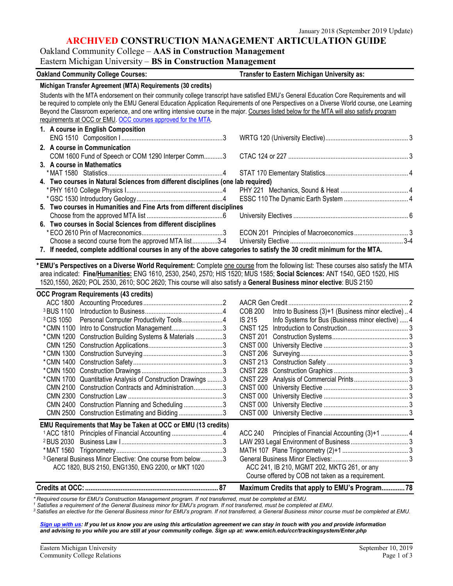#### **ARCHIVED CONSTRUCTION MANAGEMENT ARTICULATION GUIDE**

# Oakland Community College – **AAS in Construction Management**

## Eastern Michigan University – **BS in Construction Management**

| <b>Oakland Community College Courses:</b>                                                                                                                                                                                                                                                                                                                                                                                                                                                               | <b>Transfer to Eastern Michigan University as:</b>                    |
|---------------------------------------------------------------------------------------------------------------------------------------------------------------------------------------------------------------------------------------------------------------------------------------------------------------------------------------------------------------------------------------------------------------------------------------------------------------------------------------------------------|-----------------------------------------------------------------------|
| Michigan Transfer Agreement (MTA) Requirements (30 credits)                                                                                                                                                                                                                                                                                                                                                                                                                                             |                                                                       |
| Students with the MTA endorsement on their community college transcript have satisfied EMU's General Education Core Requirements and will<br>be required to complete only the EMU General Education Application Requirements of one Perspectives on a Diverse World course, one Learning<br>Beyond the Classroom experience, and one writing intensive course in the major. Courses listed below for the MTA will also satisfy program<br>requirements at OCC or EMU. OCC courses approved for the MTA. |                                                                       |
| 1. A course in English Composition                                                                                                                                                                                                                                                                                                                                                                                                                                                                      |                                                                       |
| 2. A course in Communication<br>COM 1600 Fund of Speech or COM 1290 Interper Comm3                                                                                                                                                                                                                                                                                                                                                                                                                      |                                                                       |
| 3. A course in Mathematics                                                                                                                                                                                                                                                                                                                                                                                                                                                                              |                                                                       |
|                                                                                                                                                                                                                                                                                                                                                                                                                                                                                                         |                                                                       |
| 4. Two courses in Natural Sciences from different disciplines (one lab required)                                                                                                                                                                                                                                                                                                                                                                                                                        |                                                                       |
|                                                                                                                                                                                                                                                                                                                                                                                                                                                                                                         |                                                                       |
|                                                                                                                                                                                                                                                                                                                                                                                                                                                                                                         |                                                                       |
| 5. Two courses in Humanities and Fine Arts from different disciplines                                                                                                                                                                                                                                                                                                                                                                                                                                   |                                                                       |
|                                                                                                                                                                                                                                                                                                                                                                                                                                                                                                         |                                                                       |
| 6. Two courses in Social Sciences from different disciplines                                                                                                                                                                                                                                                                                                                                                                                                                                            |                                                                       |
| Choose a second course from the approved MTA list3-4                                                                                                                                                                                                                                                                                                                                                                                                                                                    |                                                                       |
| 7. If needed, complete additional courses in any of the above categories to satisfy the 30 credit minimum for the MTA.                                                                                                                                                                                                                                                                                                                                                                                  |                                                                       |
|                                                                                                                                                                                                                                                                                                                                                                                                                                                                                                         |                                                                       |
| *EMU's Perspectives on a Diverse World Requirement: Complete one course from the following list: These courses also satisfy the MTA                                                                                                                                                                                                                                                                                                                                                                     |                                                                       |
| area indicated: Fine/Humanities: ENG 1610, 2530, 2540, 2570; HIS 1520; MUS 1585; Social Sciences: ANT 1540, GEO 1520, HIS                                                                                                                                                                                                                                                                                                                                                                               |                                                                       |
| 1520,1550, 2620; POL 2530, 2610; SOC 2620; This course will also satisfy a General Business minor elective: BUS 2150                                                                                                                                                                                                                                                                                                                                                                                    |                                                                       |
| <b>OCC Program Requirements (43 credits)</b>                                                                                                                                                                                                                                                                                                                                                                                                                                                            |                                                                       |
|                                                                                                                                                                                                                                                                                                                                                                                                                                                                                                         |                                                                       |
|                                                                                                                                                                                                                                                                                                                                                                                                                                                                                                         | Intro to Business (3)+1 (Business minor elective) 4<br><b>COB 200</b> |
| <sup>3</sup> CIS 1050 Personal Computer Productivity Tools4                                                                                                                                                                                                                                                                                                                                                                                                                                             | IS 215<br>Info Systems for Bus (Business minor elective)  4           |
| *CMN 1100 Intro to Construction Management3                                                                                                                                                                                                                                                                                                                                                                                                                                                             | <b>CNST 125</b>                                                       |
| * CMN 1200 Construction Building Systems & Materials 3                                                                                                                                                                                                                                                                                                                                                                                                                                                  | <b>CNST 201</b>                                                       |
|                                                                                                                                                                                                                                                                                                                                                                                                                                                                                                         | CNST 000                                                              |
|                                                                                                                                                                                                                                                                                                                                                                                                                                                                                                         | <b>CNST 206</b>                                                       |
|                                                                                                                                                                                                                                                                                                                                                                                                                                                                                                         | <b>CNST 213</b>                                                       |
|                                                                                                                                                                                                                                                                                                                                                                                                                                                                                                         | <b>CNST 228</b>                                                       |
| * CMN 1700 Quantitative Analysis of Construction Drawings  3                                                                                                                                                                                                                                                                                                                                                                                                                                            | <b>CNST 229</b>                                                       |
| CMN 2100 Construction Contracts and Administration3                                                                                                                                                                                                                                                                                                                                                                                                                                                     | <b>CNST 000</b>                                                       |
|                                                                                                                                                                                                                                                                                                                                                                                                                                                                                                         |                                                                       |
| CMN 2400 Construction Planning and Scheduling3                                                                                                                                                                                                                                                                                                                                                                                                                                                          |                                                                       |
| CMN 2500 Construction Estimating and Bidding3                                                                                                                                                                                                                                                                                                                                                                                                                                                           |                                                                       |
| EMU Requirements that May be Taken at OCC or EMU (13 credits)                                                                                                                                                                                                                                                                                                                                                                                                                                           |                                                                       |
| <sup>1</sup> ACC 1810 Principles of Financial Accounting 4                                                                                                                                                                                                                                                                                                                                                                                                                                              | Principles of Financial Accounting (3)+1  4<br><b>ACC 240</b>         |
|                                                                                                                                                                                                                                                                                                                                                                                                                                                                                                         |                                                                       |
|                                                                                                                                                                                                                                                                                                                                                                                                                                                                                                         |                                                                       |
| <sup>3</sup> General Business Minor Elective: One course from below3                                                                                                                                                                                                                                                                                                                                                                                                                                    |                                                                       |
| ACC 1820, BUS 2150, ENG1350, ENG 2200, or MKT 1020                                                                                                                                                                                                                                                                                                                                                                                                                                                      | ACC 241, IB 210, MGMT 202, MKTG 261, or any                           |
|                                                                                                                                                                                                                                                                                                                                                                                                                                                                                                         | Course offered by COB not taken as a requirement.                     |
|                                                                                                                                                                                                                                                                                                                                                                                                                                                                                                         | Maximum Credits that apply to EMU's Program 78                        |

*\* Required course for EMU's Construction Management program. If not transferred, must be completed at EMU.*

*<sup>1</sup> Satisfies a requirement of the General Business minor for EMU's program. If not transferred, must be completed at EMU.*

*3 Satisfies an elective for the General Business minor for EMU's program. If not transferred, a General Business minor course must be completed at EMU.*

*[Sign up with us:](http://www.emich.edu/ccr/articulation-agreements/signup.php) If you let us know you are using this articulation agreement we can stay in touch with you and provide information and advising to you while you are still at your community college. Sign up at: www.emich.edu/ccr/trackingsystem/Enter.php*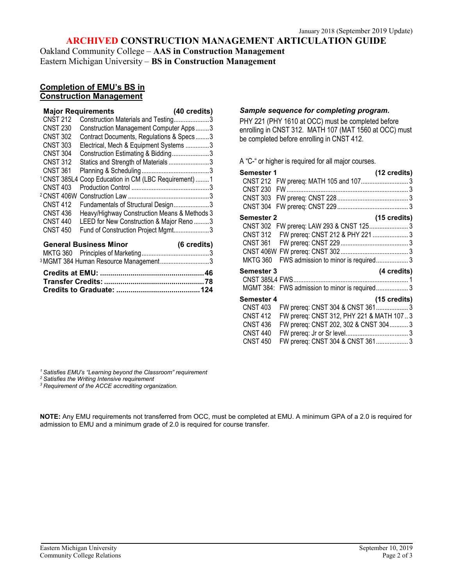#### **ARCHIVED CONSTRUCTION MANAGEMENT ARTICULATION GUIDE**

Oakland Community College – **AAS in Construction Management**  Eastern Michigan University – **BS in Construction Management**

#### **Completion of EMU's BS in Construction Management**

|                        | <b>Major Requirements</b>                                         | (40 credits) |
|------------------------|-------------------------------------------------------------------|--------------|
| <b>CNST 212</b>        | Construction Materials and Testing3                               |              |
| <b>CNST 230</b>        | Construction Management Computer Apps3                            |              |
| <b>CNST 302</b>        | Contract Documents, Regulations & Specs3                          |              |
| <b>CNST 303</b>        | Electrical, Mech & Equipment Systems 3                            |              |
| <b>CNST 304</b>        | Construction Estimating & Bidding3                                |              |
| <b>CNST 312</b>        | Statics and Strength of Materials3                                |              |
| <b>CNST 361</b>        |                                                                   |              |
|                        | <sup>1</sup> CNST 385L4 Coop Education in CM (LBC Requirement)  1 |              |
| <b>CNST 403</b>        |                                                                   |              |
| <sup>2</sup> CNST 406W |                                                                   |              |
| <b>CNST 412</b>        | Fundamentals of Structural Design3                                |              |
| <b>CNST 436</b>        | Heavy/Highway Construction Means & Methods 3                      |              |
| <b>CNST 440</b>        | LEED for New Construction & Major Reno 3                          |              |
| <b>CNST 450</b>        | Fund of Construction Project Mgmt3                                |              |
|                        | <b>General Business Minor</b>                                     | (6 credits)  |
|                        |                                                                   |              |
|                        | 2 MALE 00 ALL $\Box$ D MALE 2012                                  |              |

| <sup>3</sup> MGMT 384 Human Resource Management3 |  |
|--------------------------------------------------|--|
|                                                  |  |
|                                                  |  |
|                                                  |  |

#### *Sample sequence for completing program.*

PHY 221 (PHY 1610 at OCC) must be completed before enrolling in CNST 312. MATH 107 (MAT 1560 at OCC) must be completed before enrolling in CNST 412.

A "C-" or higher is required for all major courses.

| <b>Semester 1</b><br>(12 credits)                            |  |
|--------------------------------------------------------------|--|
| <b>CNST 212</b><br>FW prereq: MATH 105 and 107 3             |  |
| <b>CNST 230</b>                                              |  |
| <b>CNST 303</b>                                              |  |
| <b>CNST 304</b>                                              |  |
| Semester 2<br>(15 credits)                                   |  |
| FW prereq: LAW 293 & CNST 125 3<br><b>CNST 302</b>           |  |
| FW prereq: CNST 212 & PHY 221  3<br><b>CNST 312</b>          |  |
| <b>CNST 361</b>                                              |  |
|                                                              |  |
| <b>MKTG 360</b><br>FWS admission to minor is required 3      |  |
| (4 credits)<br>Semester 3                                    |  |
|                                                              |  |
| MGMT 384: FWS admission to minor is required 3               |  |
|                                                              |  |
| (15 credits)<br>Semester 4                                   |  |
| FW prereq: CNST 304 & CNST 3613<br><b>CNST 403</b>           |  |
| FW prereq: CNST 312, PHY 221 & MATH 107.3<br><b>CNST 412</b> |  |
| FW prereq: CNST 202, 302 & CNST 304 3<br><b>CNST 436</b>     |  |
| <b>CNST 440</b>                                              |  |
| FW prereq: CNST 304 & CNST 361 3<br><b>CNST 450</b>          |  |

*<sup>1</sup> Satisfies EMU's "Learning beyond the Classroom" requirement*

*<sup>2</sup> Satisfies the Writing Intensive requirement*

*<sup>3</sup> Requirement of the ACCE accrediting organization.*

**NOTE:** Any EMU requirements not transferred from OCC, must be completed at EMU. A minimum GPA of a 2.0 is required for admission to EMU and a minimum grade of 2.0 is required for course transfer.